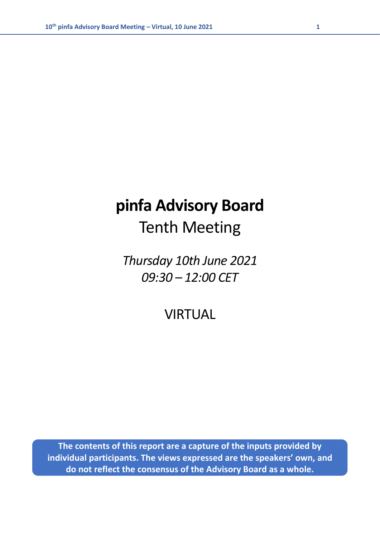# **pinfa Advisory Board**  Tenth Meeting

*Thursday 10th June 2021 09:30 – 12:00 CET*

VIRTUAL

**The contents of this report are a capture of the inputs provided by individual participants. The views expressed are the speakers' own, and do not reflect the consensus of the Advisory Board as a whole.**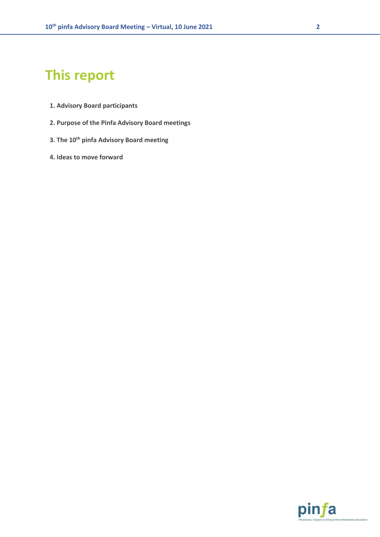## **This report**

- **1. Advisory Board participants**
- **2. Purpose of the Pinfa Advisory Board meetings**
- **3. The 10th pinfa Advisory Board meeting**
- **4. Ideas to move forward**

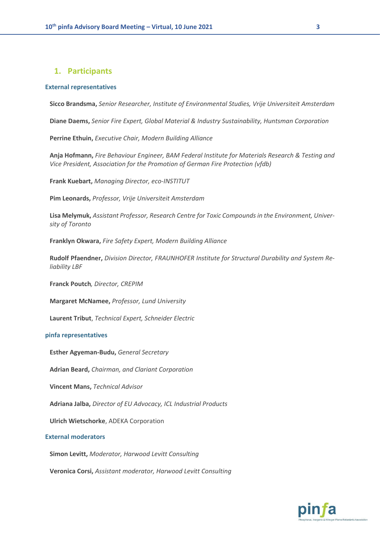### **1. Participants**

#### **External representatives**

**Sicco Brandsma,** *Senior Researcher, Institute of Environmental Studies, Vrije Universiteit Amsterdam*

**Diane Daems,** *Senior Fire Expert, Global Material & Industry Sustainability, Huntsman Corporation*

**Perrine Ethuin,** *Executive Chair, Modern Building Alliance*

**Anja Hofmann,** *Fire Behaviour Engineer, BAM Federal Institute for Materials Research & Testing and Vice President, Association for the Promotion of German Fire Protection (vfdb)*

**Frank Kuebart,** *Managing Director, eco-INSTITUT*

**Pim Leonards,** *Professor, Vrije Universiteit Amsterdam*

**Lisa Melymuk,** *Assistant Professor, Research Centre for Toxic Compounds in the Environment, University of Toronto*

**Franklyn Okwara,** *Fire Safety Expert, Modern Building Alliance*

**Rudolf Pfaendner,** *Division Director, FRAUNHOFER Institute for Structural Durability and System Reliability LBF*

**Franck Poutch***, Director, CREPIM*

**Margaret McNamee,** *Professor, Lund University*

**Laurent Tribut**, *Technical Expert, Schneider Electric*

### **pinfa representatives**

**Esther Agyeman-Budu,** *General Secretary*

**Adrian Beard,** *Chairman, and Clariant Corporation*

**Vincent Mans,** *Technical Advisor*

**Adriana Jalba,** *Director of EU Advocacy, ICL Industrial Products*

**Ulrich Wietschorke**, ADEKA Corporation

#### **External moderators**

**Simon Levitt,** *Moderator, Harwood Levitt Consulting*

**Veronica Corsi,** *Assistant moderator, Harwood Levitt Consulting*

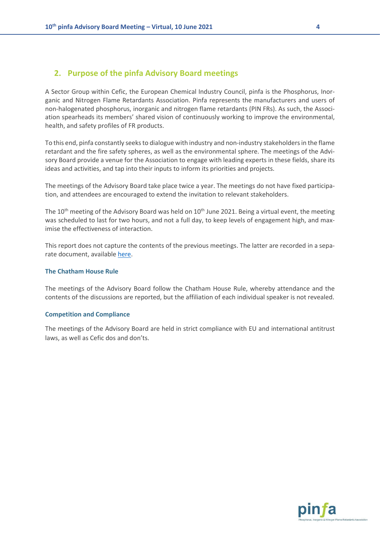### **2. Purpose of the pinfa Advisory Board meetings**

A Sector Group within Cefic, the European Chemical Industry Council, pinfa is the Phosphorus, Inorganic and Nitrogen Flame Retardants Association. Pinfa represents the manufacturers and users of non-halogenated phosphorus, inorganic and nitrogen flame retardants (PIN FRs). As such, the Association spearheads its members' shared vision of continuously working to improve the environmental, health, and safety profiles of FR products.

To this end, pinfa constantly seeks to dialogue with industry and non-industry stakeholders in the flame retardant and the fire safety spheres, as well as the environmental sphere. The meetings of the Advisory Board provide a venue for the Association to engage with leading experts in these fields, share its ideas and activities, and tap into their inputs to inform its priorities and projects.

The meetings of the Advisory Board take place twice a year. The meetings do not have fixed participation, and attendees are encouraged to extend the invitation to relevant stakeholders.

The 10<sup>th</sup> meeting of the Advisory Board was held on  $10^{th}$  June 2021. Being a virtual event, the meeting was scheduled to last for two hours, and not a full day, to keep levels of engagement high, and maximise the effectiveness of interaction.

This report does not capture the contents of the previous meetings. The latter are recorded in a separate document, available [here.](https://www.pinfa.eu/wp-content/uploads/2020/07/pinfa-Advisory-Board-Background-Past-Meetings-July-2020.pdf)

### **The Chatham House Rule**

The meetings of the Advisory Board follow the Chatham House Rule, whereby attendance and the contents of the discussions are reported, but the affiliation of each individual speaker is not revealed.

### **Competition and Compliance**

The meetings of the Advisory Board are held in strict compliance with EU and international antitrust laws, as well as Cefic dos and don'ts.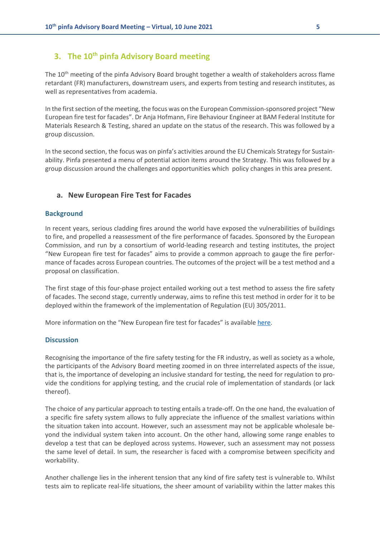### **3. The 10th pinfa Advisory Board meeting**

The 10<sup>th</sup> meeting of the pinfa Advisory Board brought together a wealth of stakeholders across flame retardant (FR) manufacturers, downstream users, and experts from testing and research institutes, as well as representatives from academia.

In the first section of the meeting, the focus was on the European Commission-sponsored project "New European fire test for facades". Dr Anja Hofmann, Fire Behaviour Engineer at BAM Federal Institute for Materials Research & Testing, shared an update on the status of the research. This was followed by a group discussion.

In the second section, the focus was on pinfa's activities around the EU Chemicals Strategy for Sustainability. Pinfa presented a menu of potential action items around the Strategy. This was followed by a group discussion around the challenges and opportunities which policy changes in this area present.

### **a. New European Fire Test for Facades**

### **Background**

In recent years, serious cladding fires around the world have exposed the vulnerabilities of buildings to fire, and propelled a reassessment of the fire performance of facades. Sponsored by the European Commission, and run by a consortium of world-leading research and testing institutes, the project "New European fire test for facades" aims to provide a common approach to gauge the fire performance of facades across European countries. The outcomes of the project will be a test method and a proposal on classification.

The first stage of this four-phase project entailed working out a test method to assess the fire safety of facades. The second stage, currently underway, aims to refine this test method in order for it to be deployed within the framework of the implementation of Regulation (EU) 305/2011.

More information on the "New European fire test for facades" is availabl[e here.](https://www.ri.se/en/what-we-do/projects/finalisation-of-the-european-approach-to-assess-the-fire-performance-of-facades)

### **Discussion**

Recognising the importance of the fire safety testing for the FR industry, as well as society as a whole, the participants of the Advisory Board meeting zoomed in on three interrelated aspects of the issue, that is, the importance of developing an inclusive standard for testing, the need for regulation to provide the conditions for applying testing, and the crucial role of implementation of standards (or lack thereof).

The choice of any particular approach to testing entails a trade-off. On the one hand, the evaluation of a specific fire safety system allows to fully appreciate the influence of the smallest variations within the situation taken into account. However, such an assessment may not be applicable wholesale beyond the individual system taken into account. On the other hand, allowing some range enables to develop a test that can be deployed across systems. However, such an assessment may not possess the same level of detail. In sum, the researcher is faced with a compromise between specificity and workability.

Another challenge lies in the inherent tension that any kind of fire safety test is vulnerable to. Whilst tests aim to replicate real-life situations, the sheer amount of variability within the latter makes this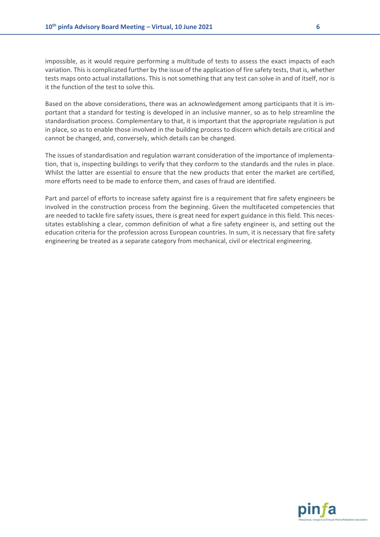impossible, as it would require performing a multitude of tests to assess the exact impacts of each variation. This is complicated further by the issue of the application of fire safety tests, that is, whether tests maps onto actual installations. This is not something that any test can solve in and of itself, nor is it the function of the test to solve this.

Based on the above considerations, there was an acknowledgement among participants that it is important that a standard for testing is developed in an inclusive manner, so as to help streamline the standardisation process. Complementary to that, it is important that the appropriate regulation is put in place, so as to enable those involved in the building process to discern which details are critical and cannot be changed, and, conversely, which details can be changed.

The issues of standardisation and regulation warrant consideration of the importance of implementation, that is, inspecting buildings to verify that they conform to the standards and the rules in place. Whilst the latter are essential to ensure that the new products that enter the market are certified, more efforts need to be made to enforce them, and cases of fraud are identified.

Part and parcel of efforts to increase safety against fire is a requirement that fire safety engineers be involved in the construction process from the beginning. Given the multifaceted competencies that are needed to tackle fire safety issues, there is great need for expert guidance in this field. This necessitates establishing a clear, common definition of what a fire safety engineer is, and setting out the education criteria for the profession across European countries. In sum, it is necessary that fire safety engineering be treated as a separate category from mechanical, civil or electrical engineering.

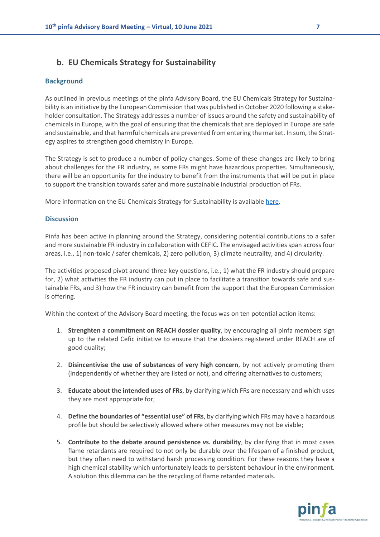### **b. EU Chemicals Strategy for Sustainability**

### **Background**

As outlined in previous meetings of the pinfa Advisory Board, the EU Chemicals Strategy for Sustainability is an initiative by the European Commission that was published in October 2020 following a stakeholder consultation. The Strategy addresses a number of issues around the safety and sustainability of chemicals in Europe, with the goal of ensuring that the chemicals that are deployed in Europe are safe and sustainable, and that harmful chemicals are prevented from entering the market. In sum, the Strategy aspires to strengthen good chemistry in Europe.

The Strategy is set to produce a number of policy changes. Some of these changes are likely to bring about challenges for the FR industry, as some FRs might have hazardous properties. Simultaneously, there will be an opportunity for the industry to benefit from the instruments that will be put in place to support the transition towards safer and more sustainable industrial production of FRs.

More information on the EU Chemicals Strategy for Sustainability is available [here.](https://eur-lex.europa.eu/resource.html?uri=cellar:f815479a-0f01-11eb-bc07-01aa75ed71a1.0003.02/DOC_1&format=PDF)

### **Discussion**

Pinfa has been active in planning around the Strategy, considering potential contributions to a safer and more sustainable FR industry in collaboration with CEFIC. The envisaged activities span across four areas, i.e., 1) non-toxic / safer chemicals, 2) zero pollution, 3) climate neutrality, and 4) circularity.

The activities proposed pivot around three key questions, i.e., 1) what the FR industry should prepare for, 2) what activities the FR industry can put in place to facilitate a transition towards safe and sustainable FRs, and 3) how the FR industry can benefit from the support that the European Commission is offering.

Within the context of the Advisory Board meeting, the focus was on ten potential action items:

- 1. **Strenghten a commitment on REACH dossier quality**, by encouraging all pinfa members sign up to the related Cefic initiative to ensure that the dossiers registered under REACH are of good quality;
- 2. **Disincentivise the use of substances of very high concern**, by not actively promoting them (independently of whether they are listed or not), and offering alternatives to customers;
- 3. **Educate about the intended uses of FRs**, by clarifying which FRs are necessary and which uses they are most appropriate for;
- 4. **Define the boundaries of "essential use" of FRs**, by clarifying which FRs may have a hazardous profile but should be selectively allowed where other measures may not be viable;
- 5. **Contribute to the debate around persistence vs. durability**, by clarifying that in most cases flame retardants are required to not only be durable over the lifespan of a finished product, but they often need to withstand harsh processing condition. For these reasons they have a high chemical stability which unfortunately leads to persistent behaviour in the environment. A solution this dilemma can be the recycling of flame retarded materials.

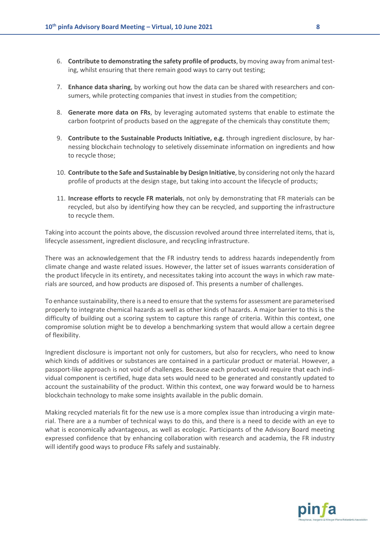- 6. **Contribute to demonstrating the safety profile of products**, by moving away from animal testing, whilst ensuring that there remain good ways to carry out testing;
- 7. **Enhance data sharing**, by working out how the data can be shared with researchers and consumers, while protecting companies that invest in studies from the competition;
- 8. **Generate more data on FRs**, by leveraging automated systems that enable to estimate the carbon footprint of products based on the aggregate of the chemicals thay constitute them;
- 9. **Contribute to the Sustainable Products Initiative, e.g.** through ingredient disclosure, by harnessing blockchain technology to seletively disseminate information on ingredients and how to recycle those;
- 10. **Contribute to the Safe and Sustainable by Design Initiative**, by considering not only the hazard profile of products at the design stage, but taking into account the lifecycle of products;
- 11. **Increase efforts to recycle FR materials**, not only by demonstrating that FR materials can be recycled, but also by identifying how they can be recycled, and supporting the infrastructure to recycle them.

Taking into account the points above, the discussion revolved around three interrelated items, that is, lifecycle assessment, ingredient disclosure, and recycling infrastructure.

There was an acknowledgement that the FR industry tends to address hazards independently from climate change and waste related issues. However, the latter set of issues warrants consideration of the product lifecycle in its entirety, and necessitates taking into account the ways in which raw materials are sourced, and how products are disposed of. This presents a number of challenges.

To enhance sustainability, there is a need to ensure that the systems for assessment are parameterised properly to integrate chemical hazards as well as other kinds of hazards. A major barrier to this is the difficulty of building out a scoring system to capture this range of criteria. Within this context, one compromise solution might be to develop a benchmarking system that would allow a certain degree of flexibility.

Ingredient disclosure is important not only for customers, but also for recyclers, who need to know which kinds of additives or substances are contained in a particular product or material. However, a passport-like approach is not void of challenges. Because each product would require that each individual component is certified, huge data sets would need to be generated and constantly updated to account the sustainability of the product. Within this context, one way forward would be to harness blockchain technology to make some insights available in the public domain.

Making recycled materials fit for the new use is a more complex issue than introducing a virgin material. There are a a number of technical ways to do this, and there is a need to decide with an eye to what is economically advantageous, as well as ecologic. Participants of the Advisory Board meeting expressed confidence that by enhancing collaboration with research and academia, the FR industry will identify good ways to produce FRs safely and sustainably.